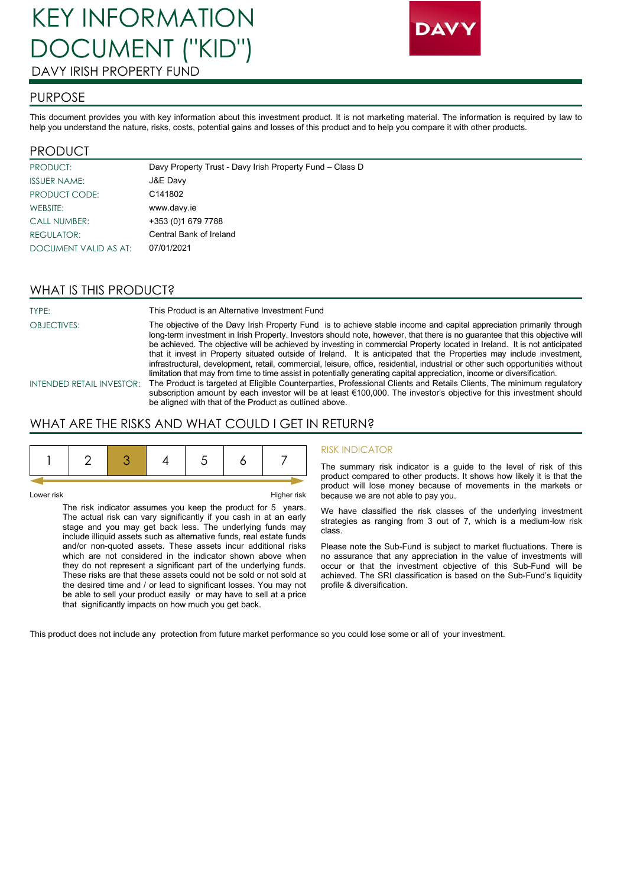# KEY INFORMATION DOCUMENT ("KID") DAVY IRISH PROPERTY FUND



## PURPOSE

This document provides you with key information about this investment product. It is not marketing material. The information is required by law to help you understand the nature, risks, costs, potential gains and losses of this product and to help you compare it with other products.

#### PRODUCT

| <b>PRODUCT:</b>       | Davy Property Trust - Davy Irish Property Fund - Class D |
|-----------------------|----------------------------------------------------------|
| <b>ISSUER NAME:</b>   | J&E Davy                                                 |
| PRODUCT CODE:         | C141802                                                  |
| WEBSITE:              | www.davy.ie                                              |
| <b>CALL NUMBER:</b>   | +353 (0) 1679 7788                                       |
| <b>REGULATOR:</b>     | Central Bank of Ireland                                  |
| DOCUMENT VALID AS AT: | 07/01/2021                                               |

## WHAT IS THIS PRODUCT?

TYPE: This Product is an Alternative Investment Fund OBJECTIVES: The objective of the Davy Irish Property Fund is to achieve stable income and capital appreciation primarily through long-term investment in Irish Property. Investors should note, however, that there is no guarantee that this objective will be achieved. The objective will be achieved by investing in commercial Property located in Ireland. It is not anticipated that it invest in Property situated outside of Ireland. It is anticipated that the Properties may include investment, infrastructural, development, retail, commercial, leisure, office, residential, industrial or other such opportunities without limitation that may from time to time assist in potentially generating capital appreciation, income or diversification. INTENDED RETAIL INVESTOR: The Product is targeted at Eligible Counterparties, Professional Clients and Retails Clients, The minimum regulatory

subscription amount by each investor will be at least €100,000. The investor's objective for this investment should be aligned with that of the Product as outlined above.

## WHAT ARE THE RISKS AND WHAT COULD I GET IN RETURN?

#### Lower risk Higher risk

The risk indicator assumes you keep the product for 5 years. The actual risk can vary significantly if you cash in at an early stage and you may get back less. The underlying funds may include illiquid assets such as alternative funds, real estate funds and/or non-quoted assets. These assets incur additional risks which are not considered in the indicator shown above when they do not represent a significant part of the underlying funds. These risks are that these assets could not be sold or not sold at the desired time and / or lead to significant losses. You may not be able to sell your product easily or may have to sell at a price that significantly impacts on how much you get back.

#### RISK INDICATOR

The summary risk indicator is a guide to the level of risk of this product compared to other products. It shows how likely it is that the product will lose money because of movements in the markets or because we are not able to pay you.

We have classified the risk classes of the underlying investment strategies as ranging from 3 out of 7, which is a medium-low risk class.

Please note the Sub-Fund is subject to market fluctuations. There is no assurance that any appreciation in the value of investments will occur or that the investment objective of this Sub-Fund will be achieved. The SRI classification is based on the Sub-Fund's liquidity profile & diversification.

This product does not include any protection from future market performance so you could lose some or all of your investment.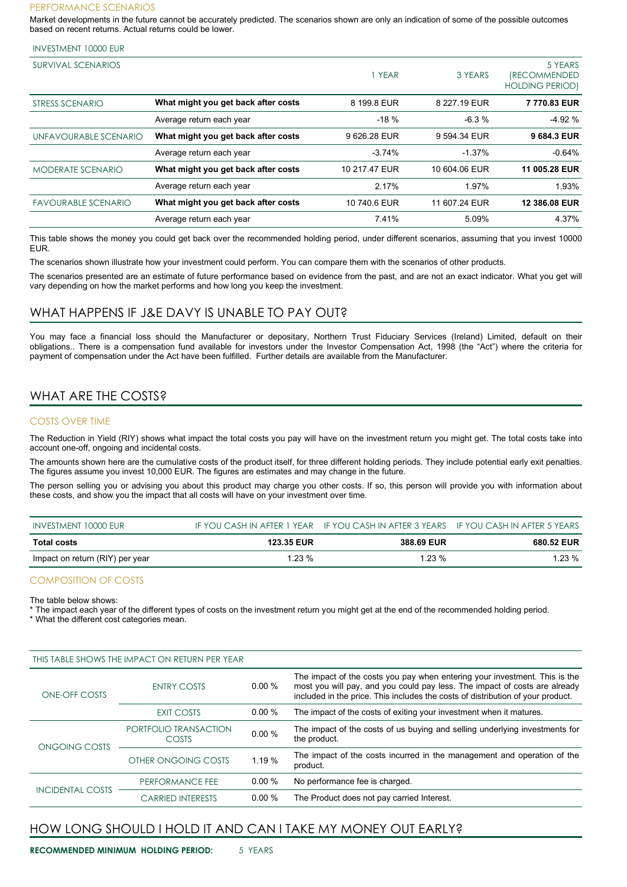#### PERFORMANCE SCENARIOS

Market developments in the future cannot be accurately predicted. The scenarios shown are only an indication of some of the possible outcomes based on recent returns. Actual returns could be lower.

| <b>INVESTMENT 10000 EUR</b> |  |  |
|-----------------------------|--|--|
|-----------------------------|--|--|

| <b>SURVIVAL SCENARIOS</b>  |                                     | YEAR          | 3 YEARS       | 5 YEARS<br><i><b>(RECOMMENDED)</b></i><br><b>HOLDING PERIOD)</b> |
|----------------------------|-------------------------------------|---------------|---------------|------------------------------------------------------------------|
| STRESS SCENARIO            | What might you get back after costs | 8 199.8 EUR   | 8 227.19 EUR  | 7770.83 EUR                                                      |
|                            | Average return each year            | $-18%$        | $-6.3%$       | $-4.92%$                                                         |
| UNFAVOURABLE SCENARIO      | What might you get back after costs | 9 626.28 EUR  | 9 594.34 EUR  | 9 684.3 EUR                                                      |
|                            | Average return each year            | $-3.74%$      | $-1.37%$      | $-0.64%$                                                         |
| <b>MODERATE SCENARIO</b>   | What might you get back after costs | 10 217.47 EUR | 10 604.06 EUR | 11 005.28 EUR                                                    |
|                            | Average return each year            | 2.17%         | 1.97%         | 1.93%                                                            |
| <b>FAVOURABLE SCENARIO</b> | What might you get back after costs | 10 740.6 EUR  | 11 607.24 EUR | 12 386.08 EUR                                                    |
|                            | Average return each year            | 7.41%         | 5.09%         | 4.37%                                                            |

This table shows the money you could get back over the recommended holding period, under different scenarios, assuming that you invest 10000 EUR.

The scenarios shown illustrate how your investment could perform. You can compare them with the scenarios of other products.

The scenarios presented are an estimate of future performance based on evidence from the past, and are not an exact indicator. What you get will vary depending on how the market performs and how long you keep the investment.

#### WHAT HAPPENS IF J&E DAVY IS UNABLE TO PAY OUT?

You may face a financial loss should the Manufacturer or depositary, Northern Trust Fiduciary Services (Ireland) Limited, default on their obligations.. There is a compensation fund available for investors under the Investor Compensation Act, 1998 (the "Act") where the criteria for payment of compensation under the Act have been fulfilled. Further details are available from the Manufacturer.

## WHAT ARE THE COSTS?

#### COSTS OVER TIME

The Reduction in Yield (RIY) shows what impact the total costs you pay will have on the investment return you might get. The total costs take into account one-off, ongoing and incidental costs.

The amounts shown here are the cumulative costs of the product itself, for three different holding periods. They include potential early exit penalties. The figures assume you invest 10,000 EUR. The figures are estimates and may change in the future.

The person selling you or advising you about this product may charge you other costs. If so, this person will provide you with information about these costs, and show you the impact that all costs will have on your investment over time.

| INVESTMENT 10000 EUR            |                   | IF YOU CASH IN AFTER 1 YEAR IF YOU CASH IN AFTER 3 YEARS IF YOU CASH IN AFTER 5 YEARS |            |
|---------------------------------|-------------------|---------------------------------------------------------------------------------------|------------|
| <b>Total costs</b>              | <b>123.35 EUR</b> | 388.69 EUR                                                                            | 680.52 EUR |
| Impact on return (RIY) per year | $1.23\%$          | $1.23\%$                                                                              | 1.23 %     |

#### COMPOSITION OF COSTS

The table below shows:

The impact each year of the different types of costs on the investment return you might get at the end of the recommended holding period.

\* What the different cost categories mean.

| THIS TABLE SHOWS THE IMPACT ON RETURN PER YEAR |                                |          |                                                                                                                                                                                                                                             |
|------------------------------------------------|--------------------------------|----------|---------------------------------------------------------------------------------------------------------------------------------------------------------------------------------------------------------------------------------------------|
| ONE-OFF COSTS                                  | <b>ENTRY COSTS</b>             | $0.00\%$ | The impact of the costs you pay when entering your investment. This is the<br>most you will pay, and you could pay less. The impact of costs are already<br>included in the price. This includes the costs of distribution of your product. |
|                                                | EXIT COSTS                     | $0.00\%$ | The impact of the costs of exiting your investment when it matures.                                                                                                                                                                         |
| ONGOING COSTS                                  | PORTFOLIO TRANSACTION<br>COSTS | 0.00%    | The impact of the costs of us buying and selling underlying investments for<br>the product.                                                                                                                                                 |
|                                                | OTHER ONGOING COSTS            | 1.19 %   | The impact of the costs incurred in the management and operation of the<br>product.                                                                                                                                                         |
| <b>INCIDENTAL COSTS</b>                        | PERFORMANCE FEE                | $0.00\%$ | No performance fee is charged.                                                                                                                                                                                                              |
|                                                | <b>CARRIED INTERESTS</b>       | 0.00 %   | The Product does not pay carried Interest.                                                                                                                                                                                                  |

## HOW LONG SHOULD I HOLD IT AND CAN I TAKE MY MONEY OUT EARLY?